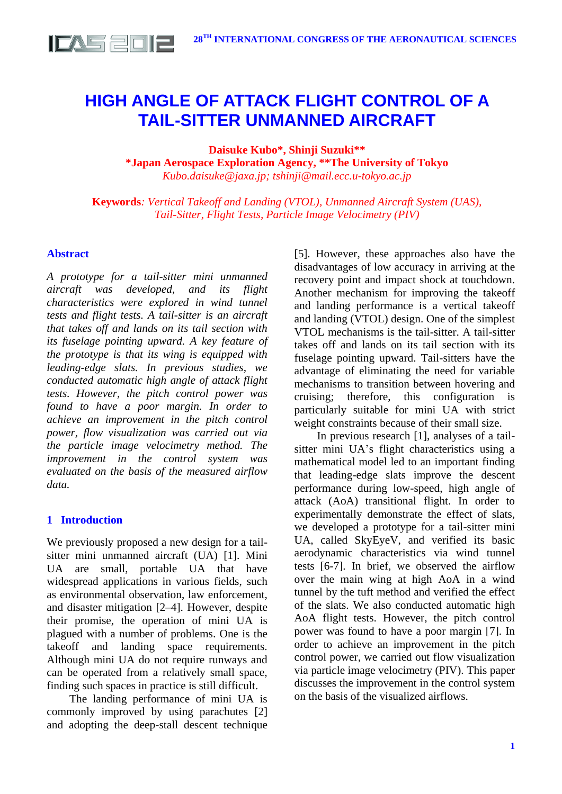

# **HIGH ANGLE OF ATTACK FLIGHT CONTROL OF A TAIL-SITTER UNMANNED AIRCRAFT**

**Daisuke Kubo\*, Shinji Suzuki\*\***

**\*Japan Aerospace Exploration Agency, \*\*The University of Tokyo** *Kubo.daisuke@jaxa.jp; tshinji@mail.ecc.u-tokyo.ac.jp*

**Keywords***: Vertical Takeoff and Landing (VTOL), Unmanned Aircraft System (UAS), Tail-Sitter, Flight Tests, Particle Image Velocimetry (PIV)*

## **Abstract**

*A prototype for a tail-sitter mini unmanned aircraft was developed, and its flight characteristics were explored in wind tunnel tests and flight tests. A tail-sitter is an aircraft that takes off and lands on its tail section with its fuselage pointing upward. A key feature of the prototype is that its wing is equipped with leading-edge slats. In previous studies, we conducted automatic high angle of attack flight tests. However, the pitch control power was found to have a poor margin. In order to achieve an improvement in the pitch control power, flow visualization was carried out via the particle image velocimetry method. The improvement in the control system was evaluated on the basis of the measured airflow data.*

## **1 Introduction**

We previously proposed a new design for a tailsitter mini unmanned aircraft (UA) [1]. Mini UA are small, portable UA that have widespread applications in various fields, such as environmental observation, law enforcement, and disaster mitigation [2–4]. However, despite their promise, the operation of mini UA is plagued with a number of problems. One is the takeoff and landing space requirements. Although mini UA do not require runways and can be operated from a relatively small space, finding such spaces in practice is still difficult.

The landing performance of mini UA is commonly improved by using parachutes [2] and adopting the deep-stall descent technique

[5]. However, these approaches also have the disadvantages of low accuracy in arriving at the recovery point and impact shock at touchdown. Another mechanism for improving the takeoff and landing performance is a vertical takeoff and landing (VTOL) design. One of the simplest VTOL mechanisms is the tail-sitter. A tail-sitter takes off and lands on its tail section with its fuselage pointing upward. Tail-sitters have the advantage of eliminating the need for variable mechanisms to transition between hovering and cruising; therefore, this configuration is particularly suitable for mini UA with strict weight constraints because of their small size.

In previous research [1], analyses of a tailsitter mini UA's flight characteristics using a mathematical model led to an important finding that leading-edge slats improve the descent performance during low-speed, high angle of attack (AoA) transitional flight. In order to experimentally demonstrate the effect of slats, we developed a prototype for a tail-sitter mini UA, called SkyEyeV, and verified its basic aerodynamic characteristics via wind tunnel tests [6-7]. In brief, we observed the airflow over the main wing at high AoA in a wind tunnel by the tuft method and verified the effect of the slats. We also conducted automatic high AoA flight tests. However, the pitch control power was found to have a poor margin [7]. In order to achieve an improvement in the pitch control power, we carried out flow visualization via particle image velocimetry (PIV). This paper discusses the improvement in the control system on the basis of the visualized airflows.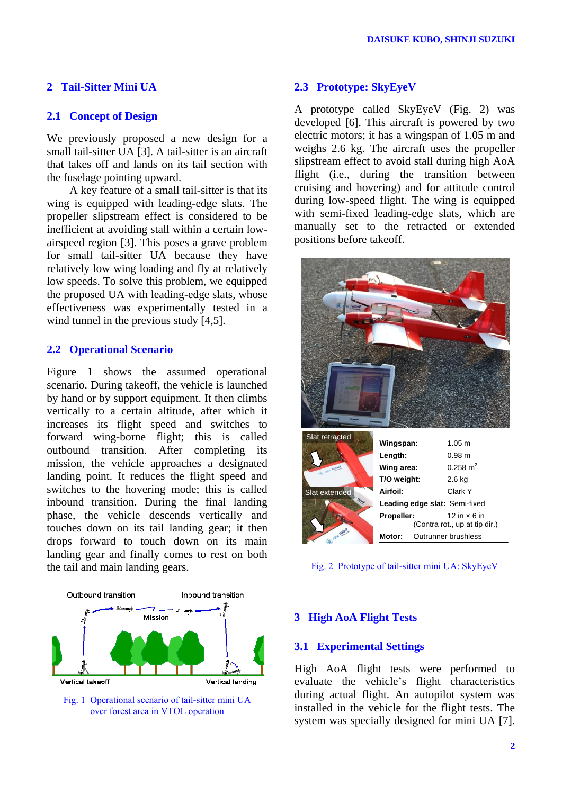## **2 Tail-Sitter Mini UA**

## **2.1 Concept of Design**

We previously proposed a new design for a small tail-sitter UA [3]. A tail-sitter is an aircraft that takes off and lands on its tail section with the fuselage pointing upward.

A key feature of a small tail-sitter is that its wing is equipped with leading-edge slats. The propeller slipstream effect is considered to be inefficient at avoiding stall within a certain lowairspeed region [3]. This poses a grave problem for small tail-sitter UA because they have relatively low wing loading and fly at relatively low speeds. To solve this problem, we equipped the proposed UA with leading-edge slats, whose effectiveness was experimentally tested in a wind tunnel in the previous study [4,5].

## **2.2 Operational Scenario**

Figure 1 shows the assumed operational scenario. During takeoff, the vehicle is launched by hand or by support equipment. It then climbs vertically to a certain altitude, after which it increases its flight speed and switches to forward wing-borne flight; this is called outbound transition. After completing its mission, the vehicle approaches a designated landing point. It reduces the flight speed and switches to the hovering mode; this is called inbound transition. During the final landing phase, the vehicle descends vertically and touches down on its tail landing gear; it then drops forward to touch down on its main landing gear and finally comes to rest on both the tail and main landing gears.



Fig. 1 Operational scenario of tail-sitter mini UA over forest area in VTOL operation

## **2.3 Prototype: SkyEyeV**

A prototype called SkyEyeV (Fig. 2) was developed [6]. This aircraft is powered by two electric motors; it has a wingspan of 1.05 m and weighs 2.6 kg. The aircraft uses the propeller slipstream effect to avoid stall during high AoA flight (i.e., during the transition between cruising and hovering) and for attitude control during low-speed flight. The wing is equipped with semi-fixed leading-edge slats, which are manually set to the retracted or extended positions before takeoff.



Fig. 2 Prototype of tail-sitter mini UA: SkyEyeV

## **3 High AoA Flight Tests**

## **3.1 Experimental Settings**

High AoA flight tests were performed to evaluate the vehicle's flight characteristics during actual flight. An autopilot system was installed in the vehicle for the flight tests. The system was specially designed for mini UA [7].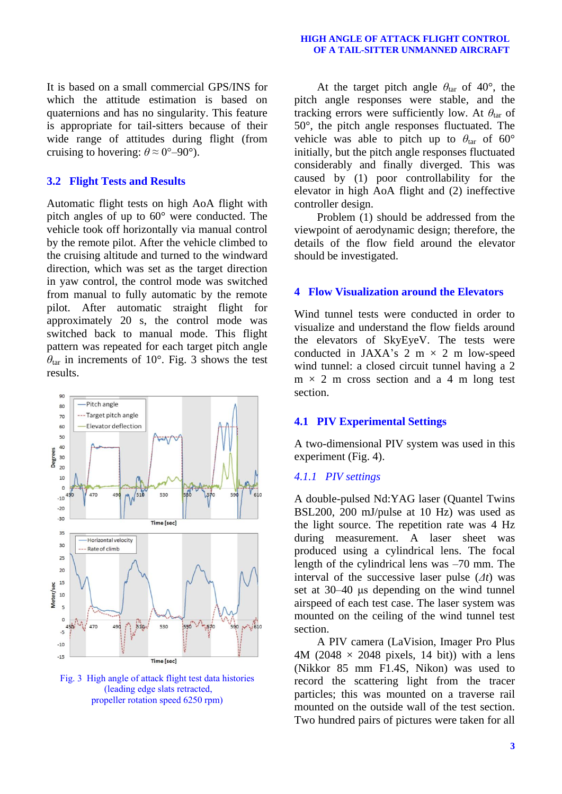#### **HIGH ANGLE OF ATTACK FLIGHT CONTROL OF A TAIL-SITTER UNMANNED AIRCRAFT**

It is based on a small commercial GPS/INS for which the attitude estimation is based on quaternions and has no singularity. This feature is appropriate for tail-sitters because of their wide range of attitudes during flight (from cruising to hovering:  $\theta \approx 0^{\circ}$ –90°).

## **3.2 Flight Tests and Results**

Automatic flight tests on high AoA flight with pitch angles of up to 60° were conducted. The vehicle took off horizontally via manual control by the remote pilot. After the vehicle climbed to the cruising altitude and turned to the windward direction, which was set as the target direction in yaw control, the control mode was switched from manual to fully automatic by the remote pilot. After automatic straight flight for approximately 20 s, the control mode was switched back to manual mode. This flight pattern was repeated for each target pitch angle  $\theta_{\text{tar}}$  in increments of 10°. Fig. 3 shows the test results.



Fig. 3 High angle of attack flight test data histories (leading edge slats retracted, propeller rotation speed 6250 rpm)

At the target pitch angle  $\theta_{\text{tar}}$  of 40°, the pitch angle responses were stable, and the tracking errors were sufficiently low. At  $\theta_{\text{tar}}$  of 50°, the pitch angle responses fluctuated. The vehicle was able to pitch up to  $\theta_{\text{tar}}$  of 60° initially, but the pitch angle responses fluctuated considerably and finally diverged. This was caused by (1) poor controllability for the elevator in high AoA flight and (2) ineffective controller design.

Problem (1) should be addressed from the viewpoint of aerodynamic design; therefore, the details of the flow field around the elevator should be investigated.

## **4 Flow Visualization around the Elevators**

Wind tunnel tests were conducted in order to visualize and understand the flow fields around the elevators of SkyEyeV. The tests were conducted in JAXA's 2 m  $\times$  2 m low-speed wind tunnel: a closed circuit tunnel having a 2  $m \times 2$  m cross section and a 4 m long test section.

## **4.1 PIV Experimental Settings**

A two-dimensional PIV system was used in this experiment (Fig. 4).

#### *4.1.1 PIV settings*

A double-pulsed Nd:YAG laser (Quantel Twins BSL200, 200 mJ/pulse at 10 Hz) was used as the light source. The repetition rate was 4 Hz during measurement. A laser sheet was produced using a cylindrical lens. The focal length of the cylindrical lens was –70 mm. The interval of the successive laser pulse (*Δt*) was set at 30–40 μs depending on the wind tunnel airspeed of each test case. The laser system was mounted on the ceiling of the wind tunnel test section.

A PIV camera (LaVision, Imager Pro Plus 4M (2048  $\times$  2048 pixels, 14 bit)) with a lens (Nikkor 85 mm F1.4S, Nikon) was used to record the scattering light from the tracer particles; this was mounted on a traverse rail mounted on the outside wall of the test section. Two hundred pairs of pictures were taken for all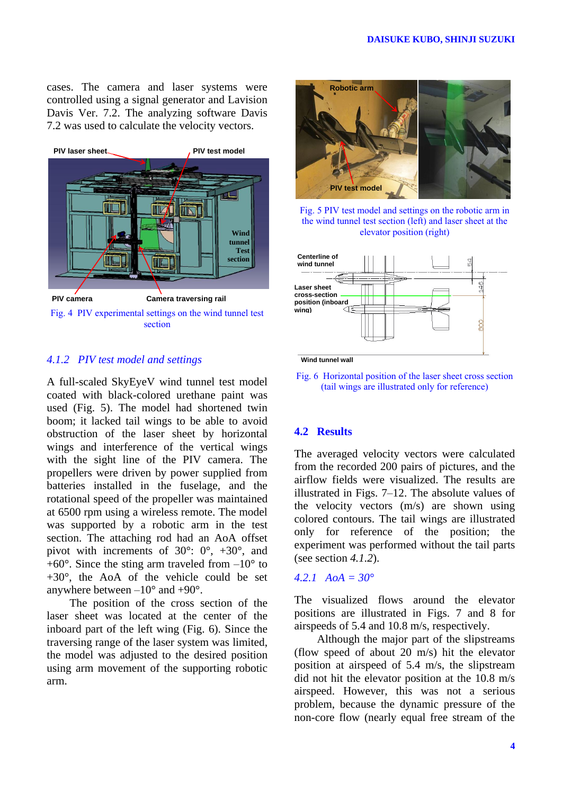cases. The camera and laser systems were controlled using a signal generator and Lavision Davis Ver. 7.2. The analyzing software Davis 7.2 was used to calculate the velocity vectors.



## *4.1.2 PIV test model and settings*

A full-scaled SkyEyeV wind tunnel test model coated with black-colored urethane paint was used (Fig. 5). The model had shortened twin boom; it lacked tail wings to be able to avoid obstruction of the laser sheet by horizontal wings and interference of the vertical wings with the sight line of the PIV camera. The propellers were driven by power supplied from batteries installed in the fuselage, and the rotational speed of the propeller was maintained at 6500 rpm using a wireless remote. The model was supported by a robotic arm in the test section. The attaching rod had an AoA offset pivot with increments of 30°: 0°, +30°, and  $+60^{\circ}$ . Since the sting arm traveled from  $-10^{\circ}$  to +30°, the AoA of the vehicle could be set anywhere between  $-10^{\circ}$  and  $+90^{\circ}$ .

The position of the cross section of the laser sheet was located at the center of the inboard part of the left wing (Fig. 6). Since the traversing range of the laser system was limited, the model was adjusted to the desired position using arm movement of the supporting robotic arm.



Fig. 5 PIV test model and settings on the robotic arm in the wind tunnel test section (left) and laser sheet at the elevator position (right)



**Wind tunnel wall**

Fig. 6 Horizontal position of the laser sheet cross section (tail wings are illustrated only for reference)

## **4.2 Results**

The averaged velocity vectors were calculated from the recorded 200 pairs of pictures, and the airflow fields were visualized. The results are illustrated in Figs. 7–12. The absolute values of the velocity vectors (m/s) are shown using colored contours. The tail wings are illustrated only for reference of the position; the experiment was performed without the tail parts (see section *4.1.2*).

## *4.2.1 AoA = 30°*

The visualized flows around the elevator positions are illustrated in Figs. 7 and 8 for airspeeds of 5.4 and 10.8 m/s, respectively.

Although the major part of the slipstreams (flow speed of about 20 m/s) hit the elevator position at airspeed of 5.4 m/s, the slipstream did not hit the elevator position at the 10.8 m/s airspeed. However, this was not a serious problem, because the dynamic pressure of the non-core flow (nearly equal free stream of the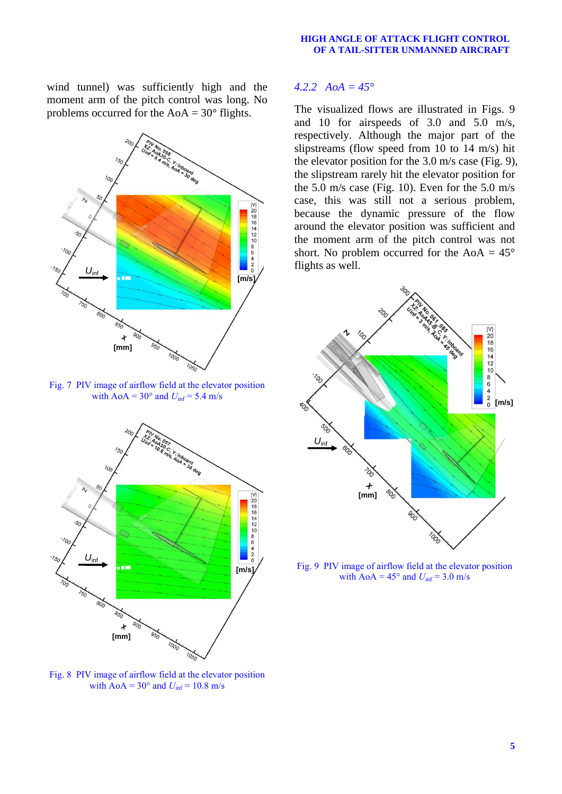#### **HIGH ANGLE OF ATTACK FLIGHT CONTROL OF A TAIL-SITTER UNMANNED AIRCRAFT**

wind tunnel) was sufficiently high and the moment arm of the pitch control was long. No problems occurred for the  $AoA = 30°$  flights.



Fig. 7 PIV image of airflow field at the elevator position with  $A \circ A = 30^\circ$  and  $U_{\text{inf}} = 5.4$  m/s



Fig. 8 PIV image of airflow field at the elevator position with  $AoA = 30^\circ$  and  $U_{\text{inf}} = 10.8$  m/s

## *4.2.2 AoA = 45°*

The visualized flows are illustrated in Figs. 9 and 10 for airspeeds of 3.0 and 5.0 m/s, respectively. Although the major part of the slipstreams (flow speed from 10 to 14 m/s) hit the elevator position for the 3.0 m/s case (Fig. 9), the slipstream rarely hit the elevator position for the 5.0 m/s case (Fig. 10). Even for the 5.0 m/s case, this was still not a serious problem, because the dynamic pressure of the flow around the elevator position was sufficient and the moment arm of the pitch control was not short. No problem occurred for the AoA  $= 45^{\circ}$ flights as well.



Fig. 9 PIV image of airflow field at the elevator position with  $A \circ A = 45^\circ$  and  $U_{\text{inf}} = 3.0 \text{ m/s}$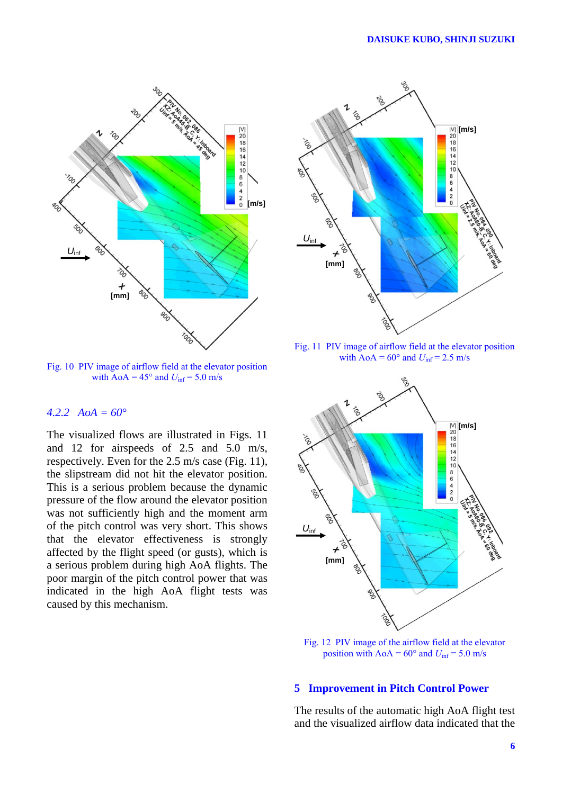

Fig. 10 PIV image of airflow field at the elevator position with  $A \circ A = 45^\circ$  and  $U_{\text{inf}} = 5.0$  m/s

## *4.2.2 AoA = 60°*

The visualized flows are illustrated in Figs. 11 and 12 for airspeeds of 2.5 and 5.0 m/s, respectively. Even for the 2.5 m/s case (Fig. 11), the slipstream did not hit the elevator position. This is a serious problem because the dynamic pressure of the flow around the elevator position was not sufficiently high and the moment arm of the pitch control was very short. This shows that the elevator effectiveness is strongly affected by the flight speed (or gusts), which is a serious problem during high AoA flights. The poor margin of the pitch control power that was indicated in the high AoA flight tests was caused by this mechanism.



Fig. 11 PIV image of airflow field at the elevator position with  $A \circ A = 60^\circ$  and  $U_{\text{inf}} = 2.5$  m/s



Fig. 12 PIV image of the airflow field at the elevator position with  $A \circ A = 60^{\circ}$  and  $U_{\text{inf}} = 5.0$  m/s

## **5 Improvement in Pitch Control Power**

The results of the automatic high AoA flight test and the visualized airflow data indicated that the